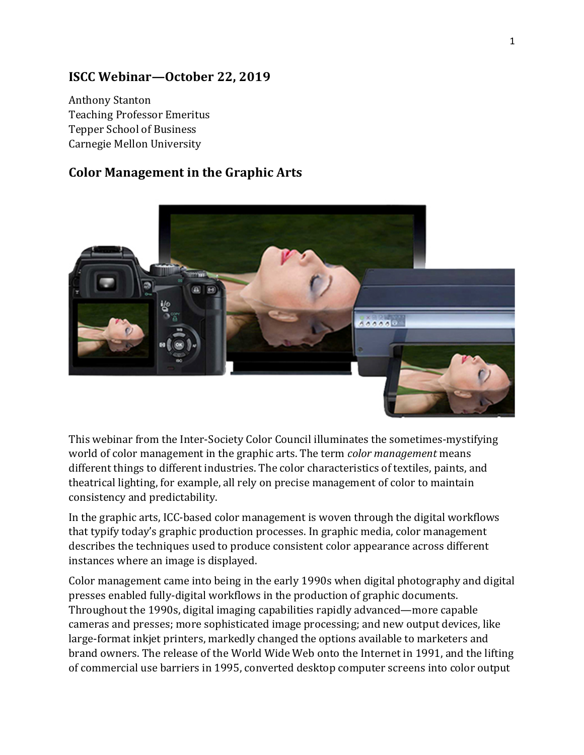## **ISCC Webinar—October 22, 2019**

Anthony Stanton Teaching Professor Emeritus Tepper School of Business Carnegie Mellon University

## **Color Management in the Graphic Arts**



This webinar from the Inter-Society Color Council illuminates the sometimes-mystifying world of color management in the graphic arts. The term *color management* means different things to different industries. The color characteristics of textiles, paints, and theatrical lighting, for example, all rely on precise management of color to maintain consistency and predictability.

In the graphic arts, ICC-based color management is woven through the digital workflows that typify today's graphic production processes. In graphic media, color management describes the techniques used to produce consistent color appearance across different instances where an image is displayed.

Color management came into being in the early 1990s when digital photography and digital presses enabled fully-digital workflows in the production of graphic documents. Throughout the 1990s, digital imaging capabilities rapidly advanced—more capable cameras and presses; more sophisticated image processing; and new output devices, like large-format inkjet printers, markedly changed the options available to marketers and brand owners. The release of the World Wide Web onto the Internet in 1991, and the lifting of commercial use barriers in 1995, converted desktop computer screens into color output